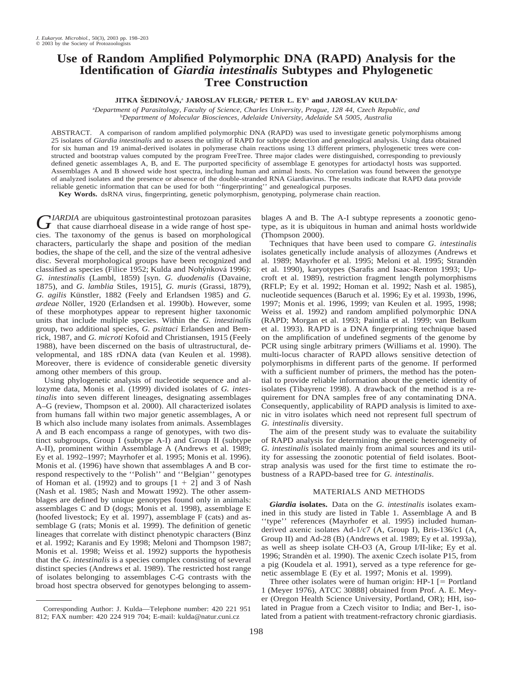# **Use of Random Amplified Polymorphic DNA (RAPD) Analysis for the Identification of** *Giardia intestinalis* **Subtypes and Phylogenetic Tree Construction**

**JITKA SˇEDINOVA´ ,** <sup>a</sup> **JAROSLAV FLEGR,**<sup>a</sup> **PETER L. EY**<sup>b</sup> **and JAROSLAV KULDA**<sup>a</sup>

a *Department of Parasitology, Faculty of Science, Charles University, Prague, 128 44, Czech Republic, and* b *Department of Molecular Biosciences, Adelaide University, Adelaide SA 5005, Australia*

ABSTRACT. A comparison of random amplified polymorphic DNA (RAPD) was used to investigate genetic polymorphisms among 25 isolates of *Giardia intestinalis* and to assess the utility of RAPD for subtype detection and genealogical analysis. Using data obtained for six human and 19 animal-derived isolates in polymerase chain reactions using 13 different primers, phylogenetic trees were constructed and bootstrap values computed by the program FreeTree. Three major clades were distinguished, corresponding to previously defined genetic assemblages A, B, and E. The purported specificity of assemblage E genotypes for artiodactyl hosts was supported. Assemblages A and B showed wide host spectra, including human and animal hosts. No correlation was found between the genotype of analyzed isolates and the presence or absence of the double-stranded RNA Giardiavirus. The results indicate that RAPD data provide reliable genetic information that can be used for both ''fingerprinting'' and genealogical purposes.

**Key Words.** dsRNA virus, fingerprinting, genetic polymorphism, genotyping, polymerase chain reaction.

*GIARDIA* are ubiquitous gastrointestinal protozoan parasites<br>that cause diarrhoeal disease in a wide range of host species. The taxonomy of the genus is based on morphological characters, particularly the shape and position of the median bodies, the shape of the cell, and the size of the ventral adhesive disc. Several morphological groups have been recognized and classified as species (Filice 1952; Kulda and Nohýnková 1996): *G. intestinalis* (Lambl, 1859) [syn. *G. duodenalis* (Davaine, 1875), and *G. lamblia* Stiles, 1915], *G. muris* (Grassi, 1879), *G. agilis* Künstler, 1882 (Feely and Erlandsen 1985) and *G. ardeae* Nöller, 1920 (Erlandsen et al. 1990b). However, some of these morphotypes appear to represent higher taxonomic units that include multiple species. Within the *G. intestinalis* group, two additional species, *G. psittaci* Erlandsen and Bemrick, 1987, and *G. microti* Kofoid and Christiansen, 1915 (Feely 1988), have been discerned on the basis of ultrastructural, developmental, and 18S rDNA data (van Keulen et al. 1998). Moreover, there is evidence of considerable genetic diversity among other members of this group.

Using phylogenetic analysis of nucleotide sequence and allozyme data, Monis et al. (1999) divided isolates of *G. intestinalis* into seven different lineages, designating assemblages A–G (review, Thompson et al. 2000). All characterized isolates from humans fall within two major genetic assemblages, A or B which also include many isolates from animals. Assemblages A and B each encompass a range of genotypes, with two distinct subgroups, Group I (subtype A-I) and Group II (subtype A-II), prominent within Assemblage A (Andrews et al. 1989; Ey et al. 1992–1997; Mayrhofer et al. 1995; Monis et al. 1996). Monis et al. (1996) have shown that assemblages A and B correspond respectively to the ''Polish'' and ''Belgian'' genotypes of Homan et al. (1992) and to groups  $[1 + 2]$  and 3 of Nash (Nash et al. 1985; Nash and Mowatt 1992). The other assemblages are defined by unique genotypes found only in animals: assemblages C and D (dogs; Monis et al. 1998), assemblage E (hoofed livestock; Ey et al. 1997), assemblage F (cats) and assemblage G (rats; Monis et al. 1999). The definition of genetic lineages that correlate with distinct phenotypic characters (Binz et al. 1992; Karanis and Ey 1998; Meloni and Thompson 1987; Monis et al. 1998; Weiss et al. 1992) supports the hypothesis that the *G. intestinalis* is a species complex consisting of several distinct species (Andrews et al. 1989). The restricted host range of isolates belonging to assemblages C-G contrasts with the broad host spectra observed for genotypes belonging to assemblages A and B. The A-I subtype represents a zoonotic genotype, as it is ubiquitous in human and animal hosts worldwide (Thompson 2000).

Techniques that have been used to compare *G. intestinalis* isolates genetically include analysis of allozymes (Andrews et al. 1989; Mayrhofer et al. 1995; Meloni et al. 1995; Strandèn et al. 1990), karyotypes (Sarafis and Isaac-Renton 1993; Upcroft et al. 1989), restriction fragment length polymorphisms (RFLP; Ey et al. 1992; Homan et al. 1992; Nash et al. 1985), nucleotide sequences (Baruch et al. 1996; Ey et al. 1993b, 1996, 1997; Monis et al. 1996, 1999; van Keulen et al. 1995, 1998; Weiss et al. 1992) and random amplified polymorphic DNA (RAPD; Morgan et al. 1993; Paintlia et al. 1999; van Belkum et al. 1993). RAPD is a DNA fingerprinting technique based on the amplification of undefined segments of the genome by PCR using single arbitrary primers (Williams et al. 1990). The multi-locus character of RAPD allows sensitive detection of polymorphisms in different parts of the genome. If performed with a sufficient number of primers, the method has the potential to provide reliable information about the genetic identity of isolates (Tibayrenc 1998). A drawback of the method is a requirement for DNA samples free of any contaminating DNA. Consequently, applicability of RAPD analysis is limited to axenic in vitro isolates which need not represent full spectrum of *G. intestinalis* diversity.

The aim of the present study was to evaluate the suitability of RAPD analysis for determining the genetic heterogeneity of *G. intestinalis* isolated mainly from animal sources and its utility for assessing the zoonotic potential of field isolates. Bootstrap analysis was used for the first time to estimate the robustness of a RAPD-based tree for *G. intestinalis*.

## MATERIALS AND METHODS

*Giardia* **isolates.** Data on the *G. intestinalis* isolates examined in this study are listed in Table 1. Assemblage A and B ''type'' references (Mayrhofer et al. 1995) included humanderived axenic isolates Ad-1/c7 (A, Group I), Bris-136/c1 (A, Group II) and Ad-28 (B) (Andrews et al. 1989; Ey et al. 1993a), as well as sheep isolate CH-O3 (A, Group I/II-like; Ey et al. 1996; Strandèn et al. 1990). The axenic Czech isolate P15, from a pig (Koudela et al. 1991), served as a type reference for genetic assemblage E (Ey et al. 1997; Monis et al. 1999).

Three other isolates were of human origin:  $HP-1$   $[=$  Portland 1 (Meyer 1976), ATCC 30888] obtained from Prof. A. E. Meyer (Oregon Health Science University, Portland, OR); HH, isolated in Prague from a Czech visitor to India; and Ber-1, isolated from a patient with treatment-refractory chronic giardiasis.

Corresponding Author: J. Kulda—Telephone number: 420 221 951 812; FAX number: 420 224 919 704; E-mail: kulda@natur.cuni.cz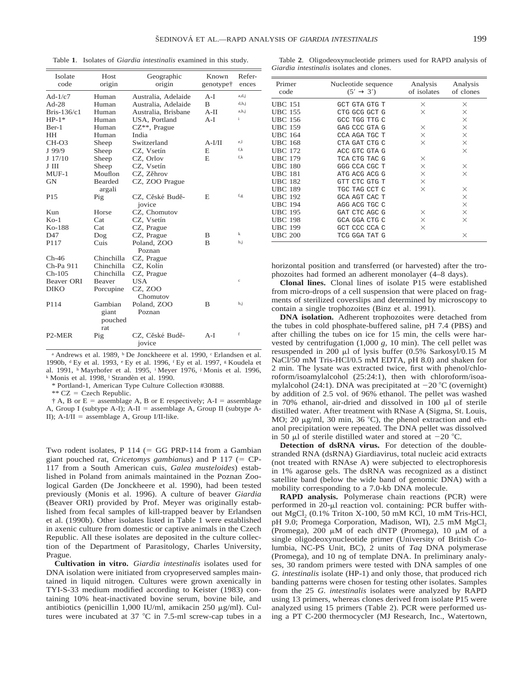Table **1**. Isolates of *Giardia intestinalis* examined in this study.

| Isolate<br>code                 | Host<br>origin                     | Geographic<br>origin      | Known<br>genotype <sup>†</sup> | Refer-<br>ences |
|---------------------------------|------------------------------------|---------------------------|--------------------------------|-----------------|
| Ad- $1/c7$                      | Human                              | Australia, Adelaide       | A-I                            | a,d,i           |
| $Ad-28$                         | Human                              | Australia, Adelaide       | B                              | d,h,j           |
| Bris- $136/c1$                  | Human                              | Australia, Brisbane       | $A-II$                         | a,h,j           |
| $HP-1*$                         | Human                              | USA, Portland             | $A-I$                          | i               |
| Ber-1                           | Human                              | CZ**, Prague              |                                |                 |
| HH                              | Human                              | India                     |                                |                 |
| $CH-O3$                         | Sheep                              | Switzerland               | $A-I/II$                       | e,l             |
| $J$ 99/9                        | Sheep                              | CZ, Vsetín                | E                              | f,k             |
| J 17/10                         | Sheep                              | CZ, Orlov                 | E.                             | f,k             |
| J III                           | Sheep                              | CZ, Vsetín                |                                |                 |
| $MUF-1$                         | Mouflon                            | CZ, Zěhrov                |                                |                 |
| <b>GN</b>                       | <b>Bearded</b><br>argali           | CZ, ZOO Prague            |                                |                 |
| P <sub>15</sub>                 | Pig                                | CZ, Cěské Budě-<br>jovice | E                              | f,g             |
| Kun                             | Horse                              | CZ, Chomutov              |                                |                 |
| $K0-1$                          | Cat                                | CZ, Vsetín                |                                |                 |
| Ko-188                          | Cat                                | CZ, Prague                |                                |                 |
| D47                             | Dog                                | CZ, Prague                | B                              | k               |
| P117                            | Cuis                               | Poland, ZOO               | B                              | b.j             |
|                                 |                                    | Poznan                    |                                |                 |
| $Ch-46$                         | Chinchilla                         | CZ, Prague                |                                |                 |
| Ch-Pa 911                       | Chinchilla                         | CZ, Kolín                 |                                |                 |
| $Ch-105$                        | Chinchilla                         | CZ, Prague                |                                |                 |
| <b>Beaver ORI</b>               | Beaver                             | <b>USA</b>                |                                | $\mathbf c$     |
| <b>DIKO</b>                     | Porcupine                          | CZ, ZOO<br>Chomutov       |                                |                 |
| P114                            | Gambian<br>giant<br>pouched<br>rat | Poland, ZOO<br>Poznan     | в                              | b.i             |
| P <sub>2</sub> -M <sub>ER</sub> | Pig                                | CZ, Cěské Budě-<br>jovice | A-I                            | f               |

<sup>a</sup> Andrews et al. 1989, <sup>b</sup> De Jonckheere et al. 1990, <sup>c</sup> Erlandsen et al. 1990b, <sup>d</sup> Ey et al. 1993, <sup>e</sup> Ey et al. 1996, <sup>f</sup> Ey et al. 1997, <sup>g</sup> Koudela et al. 1991, <sup>h</sup> Mayrhofer et al. 1995, <sup>i</sup> Meyer 1976, <sup>j</sup> Monis et al. 1996, <sup>k</sup> Monis et al. 1998, <sup>1</sup> Strandèn et al. 1990.

\* Portland-1, American Type Culture Collection #30888.

\*\*  $CZ = Czech$  Republic.

 $\dagger$  A, B or E = assemblage A, B or E respectively; A-I = assemblage A, Group I (subtype A-I);  $A$ -II = assemblage A, Group II (subtype A-II);  $A-I/II$  = assemblage A, Group I/II-like.

Two rodent isolates, P 114 ( $=$  GG PRP-114 from a Gambian giant pouched rat, *Cricetomys gambianus*) and P 117 (= CP-117 from a South American cuis, *Galea musteloides*) established in Poland from animals maintained in the Poznan Zoological Garden (De Jonckheere et al. 1990), had been tested previously (Monis et al. 1996). A culture of beaver *Giardia* (Beaver ORI) provided by Prof. Meyer was originally established from fecal samples of kill-trapped beaver by Erlandsen et al. (1990b). Other isolates listed in Table 1 were established in axenic culture from domestic or captive animals in the Czech Republic. All these isolates are deposited in the culture collection of the Department of Parasitology, Charles University, Prague.

**Cultivation in vitro.** *Giardia intestinalis* isolates used for DNA isolation were initiated from cryopreserved samples maintained in liquid nitrogen. Cultures were grown axenically in TYI-S-33 medium modified according to Keister (1983) containing 10% heat-inactivated bovine serum, bovine bile, and antibiotics (penicillin 1,000 IU/ml, amikacin 250  $\mu$ g/ml). Cultures were incubated at  $37$  °C in 7.5-ml screw-cap tubes in a

Table **2**. Oligodeoxynucleotide primers used for RAPD analysis of *Giardia intestinalis* isolates and clones.

| Primer<br>code | Nucleotide sequence<br>$(5' \rightarrow 3')$ | Analysis<br>of isolates | Analysis<br>of clones |
|----------------|----------------------------------------------|-------------------------|-----------------------|
| <b>UBC 151</b> | GCT GTA GTG T                                | X                       | X                     |
| <b>UBC 155</b> | CTG GCG GCT G                                | X                       | $\times$              |
| <b>UBC 156</b> | GCC TGG TTG C                                |                         | X                     |
| <b>UBC 159</b> | GAG CCC GTA G                                | $\times$                | X                     |
| <b>UBC 164</b> | CCA AGA TGC T                                | X                       | X                     |
| <b>UBC 168</b> | CTA GAT CTG C                                | X                       | $\times$              |
| <b>UBC 172</b> | ACC GTC GTA G                                |                         | X                     |
| <b>UBC 179</b> | TCA CTG TAC G                                | X                       |                       |
| <b>UBC 180</b> | GGG CCA CGC T                                | $\times$                | $\times$              |
| <b>UBC 181</b> | ATG ACG ACG G                                | $\times$                | X                     |
| <b>UBC 182</b> | GTT CTC GTG T                                | X                       |                       |
| <b>UBC 189</b> | TGC TAG CCT C                                | X                       | $\times$              |
| <b>UBC 192</b> | <b>GCA AGT CAC T</b>                         |                         | X                     |
| <b>UBC 194</b> | AGG ACG TGC C                                |                         | X                     |
| <b>UBC 195</b> | GAT CTC AGC G                                | ×                       | X                     |
| <b>UBC 198</b> | GCA GGA CTG C                                | $\times$                | X                     |
| <b>UBC 199</b> | GCT CCC CCA C                                | ×                       |                       |
| <b>UBC 200</b> | TCG GGA TAT G                                |                         | X                     |

horizontal position and transferred (or harvested) after the trophozoites had formed an adherent monolayer (4–8 days).

**Clonal lines.** Clonal lines of isolate P15 were established from micro-drops of a cell suspension that were placed on fragments of sterilized coverslips and determined by microscopy to contain a single trophozoites (Binz et al. 1991).

**DNA** isolation. Adherent trophozoites were detached from the tubes in cold phosphate-buffered saline, pH 7.4 (PBS) and after chilling the tubes on ice for 15 min, the cells were harvested by centrifugation (1,000 *g,* 10 min). The cell pellet was resuspended in 200  $\mu$ l of lysis buffer (0.5% Sarkosyl/0.15 M NaCl/50 mM Tris-HCl/0.5 mM EDTA, pH 8.0) and shaken for 2 min. The lysate was extracted twice, first with phenol/chloroform/isoamylalcohol (25:24:1), then with chloroform/isoamylalcohol (24:1). DNA was precipitated at  $-20$  °C (overnight) by addition of 2.5 vol. of 96% ethanol. The pellet was washed in 70% ethanol, air-dried and dissolved in 100  $\mu$ l of sterile distilled water. After treatment with RNase A (Sigma, St. Louis, MO; 20  $\mu$ g/ml, 30 min, 36 °C), the phenol extraction and ethanol precipitation were repeated. The DNA pellet was dissolved in 50  $\mu$ l of sterile distilled water and stored at  $-20$  °C.

**Detection of dsRNA virus.** For detection of the doublestranded RNA (dsRNA) Giardiavirus, total nucleic acid extracts (not treated with RNAse A) were subjected to electrophoresis in 1% agarose gels. The dsRNA was recognized as a distinct satellite band (below the wide band of genomic DNA) with a mobility corresponding to a 7.0-kb DNA molecule.

**RAPD analysis.** Polymerase chain reactions (PCR) were performed in  $20-\mu l$  reaction vol. containing: PCR buffer without  $MgCl<sub>2</sub>$  (0.1% Triton X-100, 50 mM KCl, 10 mM Tris-HCl, pH 9.0; Promega Corporation, Madison, WI), 2.5 mM MgCl<sub>2</sub> (Promega), 200  $\mu$ M of each dNTP (Promega), 10  $\mu$ M of a single oligodeoxynucleotide primer (University of British Columbia, NC-PS Unit, BC), 2 units of *Taq* DNA polymerase (Promega), and 10 ng of template DNA. In preliminary analyses, 30 random primers were tested with DNA samples of one *G. intestinalis* isolate (HP-1) and only those, that produced rich banding patterns were chosen for testing other isolates. Samples from the 25 *G. intestinalis* isolates were analyzed by RAPD using 13 primers, whereas clones derived from isolate P15 were analyzed using 15 primers (Table 2). PCR were performed using a PT C-200 thermocycler (MJ Research, Inc., Watertown,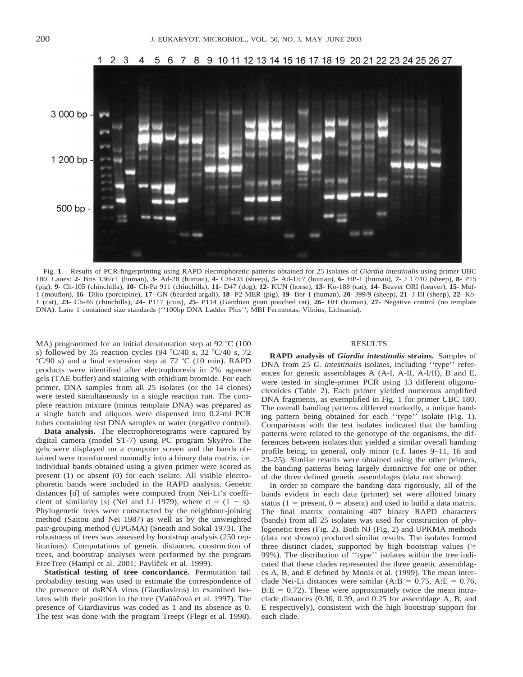

Fig. **1**. Results of PCR-fingerprinting using RAPD electrophoretic patterns obtained for 25 isolates of *Giardia intestinalis* using primer UBC 180. Lanes: **2**- Bris 136/c1 (human), **3**- Ad-28 (human), **4**- CH-O3 (sheep), **5**- Ad-1/c7 (human), **6**- HP-1 (human), **7**- J 17/10 (sheep), **8**- P15 (pig), **9**- Ch-105 (chinchilla), **10**- Ch-Pa 911 (chinchilla), **11**- D47 (dog), **12**- KUN (horse), **13**- Ko-188 (cat), **14**- Beaver ORI (beaver), **15**- Muf-1 (mouflon), **16**- Diko (porcupine), **17**- GN (bearded argali), **18**- P2-MER (pig), **19**- Ber-1 (human), **20**- J99/9 (sheep), **21**- J III (sheep), **22**- Ko-1 (cat), **23**- Ch-46 (chinchilla), **24**- P117 (cuis), **25**- P114 (Gambian giant pouched rat), **26**- HH (human), **27**- Negative control (no template DNA). Lane 1 contained size standards (''100bp DNA Ladder Plus'', MBI Fermentas, Vilnius, Lithuania).

MA) programmed for an initial denaturation step at 92  $^{\circ}$ C (100 s) followed by 35 reaction cycles (94 °C/40 s, 32 °C/40 s, 72 °C/90 s) and a final extension step at 72 °C (10 min). RAPD products were identified after electrophoresis in 2% agarose gels (TAE buffer) and staining with ethidium bromide. For each primer, DNA samples from all 25 isolates (or the 14 clones) were tested simultaneously in a single reaction run. The complete reaction mixture (minus template DNA) was prepared as a single batch and aliquots were dispensed into 0.2-ml PCR tubes containing test DNA samples or water (negative control).

**Data analysis.** The electrophoretograms were captured by digital camera (model ST-7) using PC program SkyPro. The gels were displayed on a computer screen and the bands obtained were transformed manually into a binary data matrix, i.e. individual bands obtained using a given primer were scored as present (1) or absent (0) for each isolate. All visible electrophoretic bands were included in the RAPD analysis. Genetic distances [*d*] of samples were computed from Nei-Li's coefficient of similarity [s] (Nei and Li 1979), where  $d = (1 - s)$ . Phylogenetic trees were constructed by the neighbour-joining method (Saitou and Nei 1987) as well as by the unweighted pair-grouping method (UPGMA) (Sneath and Sokal 1973). The robustness of trees was assessed by bootstrap analysis (250 replications). Computations of genetic distances, construction of trees, and bootstrap analyses were performed by the program FreeTree (Hampl et al. 2001; Pavlíček et al. 1999).

**Statistical testing of tree concordance.** Permutation tail probability testing was used to estimate the correspondence of the presence of dsRNA virus (Giardiavirus) in examined isolates with their position in the tree (Vaňáčová et al. 1997). The presence of Giardiavirus was coded as 1 and its absence as 0. The test was done with the program Treept (Flegr et al. 1998).

## RESULTS

**RAPD analysis of** *Giardia intestinalis* **strains.** Samples of DNA from 25 *G. intestinalis* isolates, including ''type'' references for genetic assemblages A (A-I, A-II, A-I/II), B and E, were tested in single-primer PCR using 13 different oligonucleotides (Table 2). Each primer yielded numerous amplified DNA fragments, as exemplified in Fig. 1 for primer UBC 180. The overall banding patterns differed markedly, a unique banding pattern being obtained for each ''type'' isolate (Fig. 1). Comparisons with the test isolates indicated that the banding patterns were related to the genotype of the organisms, the differences between isolates that yielded a similar overall banding profile being, in general, only minor (c.f. lanes 9–11, 16 and 23–25). Similar results were obtained using the other primers, the banding patterns being largely distinctive for one or other of the three defined genetic assemblages (data not shown).

In order to compare the banding data rigorously, all of the bands evident in each data (primer) set were allotted binary status ( $1 =$  present,  $0 =$  absent) and used to build a data matrix. The final matrix containing 407 binary RAPD characters (bands) from all 25 isolates was used for construction of phylogenetic trees (Fig. 2). Both NJ (Fig. 2) and UPKMA methods (data not shown) produced similar results. The isolates formed three distinct clades, supported by high bootstrap values  $(\geq$ 99%). The distribution of ''type'' isolates within the tree indicated that these clades represented the three genetic assemblages A, B, and E defined by Monis et al. (1999). The mean interclade Nei-Li distances were similar (A:B = 0.75, A:E = 0.76,  $B.E = 0.72$ ). These were approximately twice the mean intraclade distances (0.36, 0.39, and 0.25 for assemblage A, B, and E respectively), consistent with the high bootstrap support for each clade.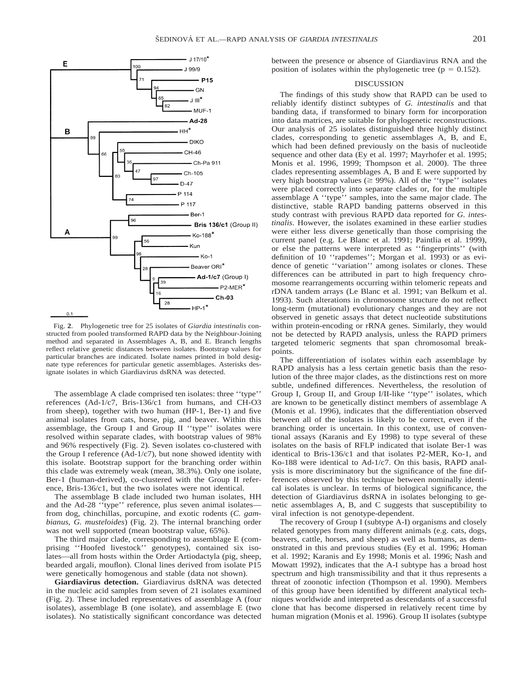

Fig. **2**. Phylogenetic tree for 25 isolates of *Giardia intestinalis* constructed from pooled transformed RAPD data by the Neighbour-Joining method and separated in Assemblages A, B, and E. Branch lengths reflect relative genetic distances between isolates. Bootstrap values for particular branches are indicated. Isolate names printed in bold designate type references for particular genetic assemblages. Asterisks designate isolates in which Giardiavirus dsRNA was detected.

The assemblage A clade comprised ten isolates: three ''type'' references (Ad-1/c7, Bris-136/c1 from humans, and CH-O3 from sheep), together with two human (HP-1, Ber-1) and five animal isolates from cats, horse, pig, and beaver. Within this assemblage, the Group I and Group II ''type'' isolates were resolved within separate clades, with bootstrap values of 98% and 96% respectively (Fig. 2). Seven isolates co-clustered with the Group I reference (Ad-1/c7), but none showed identity with this isolate. Bootstrap support for the branching order within this clade was extremely weak (mean, 38.3%). Only one isolate, Ber-1 (human-derived), co-clustered with the Group II reference, Bris-136/c1, but the two isolates were not identical.

The assemblage B clade included two human isolates, HH and the Ad-28 ''type'' reference, plus seven animal isolates from dog, chinchillas, porcupine, and exotic rodents (*C. gambianus*, *G. musteloides*) (Fig. 2). The internal branching order was not well supported (mean bootstrap value, 65%).

The third major clade, corresponding to assemblage E (comprising ''Hoofed livestock'' genotypes), contained six isolates—all from hosts within the Order Artiodactyla (pig, sheep, bearded argali, mouflon). Clonal lines derived from isolate P15 were genetically homogenous and stable (data not shown).

**Giardiavirus detection.** Giardiavirus dsRNA was detected in the nucleic acid samples from seven of 21 isolates examined (Fig. 2). These included representatives of assemblage A (four isolates), assemblage B (one isolate), and assemblage E (two isolates). No statistically significant concordance was detected

between the presence or absence of Giardiavirus RNA and the position of isolates within the phylogenetic tree ( $p = 0.152$ ).

### DISCUSSION

The findings of this study show that RAPD can be used to reliably identify distinct subtypes of *G. intestinalis* and that banding data, if transformed to binary form for incorporation into data matrices, are suitable for phylogenetic reconstructions. Our analysis of 25 isolates distinguished three highly distinct clades, corresponding to genetic assemblages A, B, and E, which had been defined previously on the basis of nucleotide sequence and other data (Ey et al. 1997; Mayrhofer et al. 1995; Monis et al. 1996, 1999; Thompson et al. 2000). The three clades representing assemblages A, B and E were supported by very high bootstrap values ( $\geq$  99%). All of the "type" isolates were placed correctly into separate clades or, for the multiple assemblage A ''type'' samples, into the same major clade. The distinctive, stable RAPD banding patterns observed in this study contrast with previous RAPD data reported for *G. intestinalis*. However, the isolates examined in these earlier studies were either less diverse genetically than those comprising the current panel (e.g. Le Blanc et al. 1991; Paintlia et al. 1999), or else the patterns were interpreted as ''fingerprints'' (with definition of 10 ''rapdemes''; Morgan et al. 1993) or as evidence of genetic ''variation'' among isolates or clones. These differences can be attributed in part to high frequency chromosome rearrangements occurring within telomeric repeats and rDNA tandem arrays (Le Blanc et al. 1991; van Belkum et al. 1993). Such alterations in chromosome structure do not reflect long-term (mutational) evolutionary changes and they are not observed in genetic assays that detect nucleotide substitutions within protein-encoding or rRNA genes. Similarly, they would not be detected by RAPD analysis, unless the RAPD primers targeted telomeric segments that span chromosomal breakpoints.

The differentiation of isolates within each assemblage by RAPD analysis has a less certain genetic basis than the resolution of the three major clades, as the distinctions rest on more subtle, undefined differences. Nevertheless, the resolution of Group I, Group II, and Group I/II-like ''type'' isolates, which are known to be genetically distinct members of assemblage A (Monis et al. 1996), indicates that the differentiation observed between all of the isolates is likely to be correct, even if the branching order is uncertain. In this context, use of conventional assays (Karanis and Ey 1998) to type several of these isolates on the basis of RFLP indicated that isolate Ber-1 was identical to Bris-136/c1 and that isolates P2-MER, Ko-1, and Ko-188 were identical to Ad-1/c7. On this basis, RAPD analysis is more discriminatory but the significance of the fine differences observed by this technique between nominally identical isolates is unclear. In terms of biological significance, the detection of Giardiavirus dsRNA in isolates belonging to genetic assemblages A, B, and C suggests that susceptibility to viral infection is not genotype-dependent.

The recovery of Group I (subtype A-I) organisms and closely related genotypes from many different animals (e.g. cats, dogs, beavers, cattle, horses, and sheep) as well as humans, as demonstrated in this and previous studies (Ey et al. 1996; Homan et al. 1992; Karanis and Ey 1998; Monis et al. 1996; Nash and Mowatt 1992), indicates that the A-I subtype has a broad host spectrum and high transmissibility and that it thus represents a threat of zoonotic infection (Thompson et al. 1990). Members of this group have been identified by different analytical techniques worldwide and interpreted as descendants of a successful clone that has become dispersed in relatively recent time by human migration (Monis et al. 1996). Group II isolates (subtype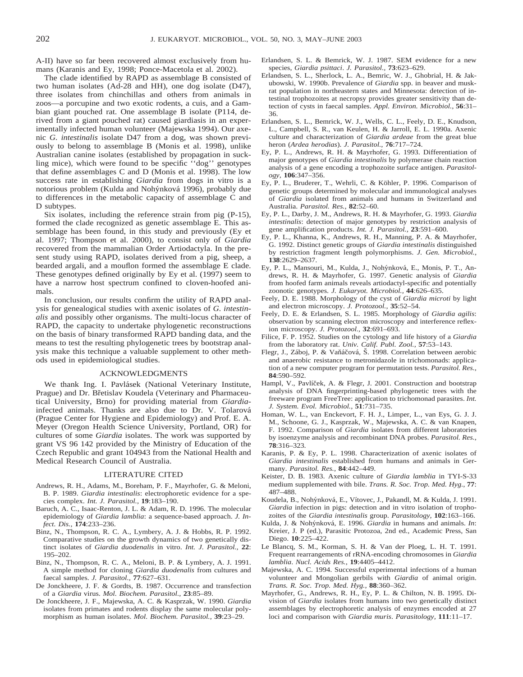A-II) have so far been recovered almost exclusively from humans (Karanis and Ey, 1998; Ponce-Macetola et al. 2002).

The clade identified by RAPD as assemblage B consisted of two human isolates (Ad-28 and HH), one dog isolate (D47), three isolates from chinchillas and others from animals in zoos—a porcupine and two exotic rodents, a cuis, and a Gambian giant pouched rat. One assemblage B isolate (P114, derived from a giant pouched rat) caused giardiasis in an experimentally infected human volunteer (Majewska 1994). Our axenic *G. intestinalis* isolate D47 from a dog, was shown previously to belong to assemblage B (Monis et al. 1998), unlike Australian canine isolates (established by propagation in suckling mice), which were found to be specific ''dog'' genotypes that define assemblages C and D (Monis et al. 1998). The low success rate in establishing *Giardia* from dogs in vitro is a notorious problem (Kulda and Nohýnková 1996), probably due to differences in the metabolic capacity of assemblage C and D subtypes.

Six isolates, including the reference strain from pig (P-15), formed the clade recognized as genetic assemblage E. This assemblage has been found, in this study and previously (Ey et al. 1997; Thompson et al. 2000), to consist only of *Giardia* recovered from the mammalian Order Artiodactyla. In the present study using RAPD, isolates derived from a pig, sheep, a bearded argali, and a mouflon formed the assemblage E clade. These genotypes defined originally by Ey et al. (1997) seem to have a narrow host spectrum confined to cloven-hoofed animals.

In conclusion, our results confirm the utility of RAPD analysis for genealogical studies with axenic isolates of *G. intestinalis* and possibly other organisms. The multi-locus character of RAPD, the capacity to undertake phylogenetic reconstructions on the basis of binary transformed RAPD banding data, and the means to test the resulting phylogenetic trees by bootstrap analysis make this technique a valuable supplement to other methods used in epidemiological studies.

#### ACKNOWLEDGMENTS

We thank Ing. I. Pavlásek (National Veterinary Institute, Prague) and Dr. Břetislav Koudela (Veterinary and Pharmaceutical University, Brno) for providing material from *Giardia*infected animals. Thanks are also due to Dr. V. Tolarová (Prague Center for Hygiene and Epidemiology) and Prof. E. A. Meyer (Oregon Health Science University, Portland, OR) for cultures of some *Giardia* isolates. The work was supported by grant VS 96 142 provided by the Ministry of Education of the Czech Republic and grant 104943 from the National Health and Medical Research Council of Australia.

#### LITERATURE CITED

- Andrews, R. H., Adams, M., Boreham, P. F., Mayrhofer, G. & Meloni, B. P. 1989. *Giardia intestinalis*: electrophoretic evidence for a species complex. *Int. J. Parasitol.,* **19**:183–190.
- Baruch, A. C., Isaac-Renton, J. L. & Adam, R. D. 1996. The molecular epidemiology of *Giardia lamblia*: a sequence-based approach. *J. Infect. Dis.,* **174**:233–236.
- Binz, N., Thompson, R. C. A., Lymbery, A. J. & Hobbs, R. P. 1992. Comparative studies on the growth dynamics of two genetically distinct isolates of *Giardia duodenalis* in vitro. *Int. J. Parasitol.,* **22**: 195–202.
- Binz, N., Thompson, R. C. A., Meloni, B. P. & Lymbery, A. J. 1991. A simple method for cloning *Giardia duodenalis* from cultures and faecal samples. *J. Parasitol.,* **77**:627–631.
- De Jonckheere, J. F. & Gordts, B. 1987. Occurrence and transfection of a *Giardia* virus. *Mol. Biochem. Parasitol.,* **23**:85–89.
- De Jonckheere, J. F., Majewska, A. C. & Kasprzak, W. 1990. *Giardia* isolates from primates and rodents display the same molecular polymorphism as human isolates. *Mol. Biochem. Parasitol.,* **39**:23–29.
- Erlandsen, S. L. & Bemrick, W. J. 1987. SEM evidence for a new species, *Giardia psittaci*. *J. Parasitol.,* **73**:623–629.
- Erlandsen, S. L., Sherlock, L. A., Bemric, W. J., Ghobrial, H. & Jakubowski, W. 1990b. Prevalence of *Giardia* spp. in beaver and muskrat population in northeastern states and Minnesota: detection of intestinal trophozoites at necropsy provides greater sensitivity than detection of cysts in faecal samples. *Appl. Environ. Microbiol.,* **56**:31– 36.
- Erlandsen, S. L., Bemrick, W. J., Wells, C. L., Feely, D. E., Knudson, L., Campbell, S. R., van Keulen, H. & Jarroll, E. L. 1990a. Axenic culture and characterization of *Giardia ardeae* from the great blue heron (*Ardea herodias*). *J. Parasitol.,* **76**:717–724.
- Ey, P. L., Andrews, R. H. & Mayrhofer, G. 1993. Differentiation of major genotypes of *Giardia intestinalis* by polymerase chain reaction analysis of a gene encoding a trophozoite surface antigen. *Parasitology,* **106**:347–356.
- Ey, P. L., Bruderer, T., Wehrli, C. & Köhler, P. 1996. Comparison of genetic groups determined by molecular and immunological analyses of *Giardia* isolated from animals and humans in Switzerland and Australia. *Parasitol. Res.,* **82**:52–60.
- Ey, P. L., Darby, J. M., Andrews, R. H. & Mayrhofer, G. 1993. *Giardia intestinalis*: detection of major genotypes by restriction analysis of gene amplification products. *Int. J. Parasitol.,* **23**:591–600.
- Ey, P. L., Khanna, K., Andrews, R. H., Manning, P. A. & Mayrhofer, G. 1992. Distinct genetic groups of *Giardia intestinalis* distinguished by restriction fragment length polymorphisms. *J. Gen. Microbiol.,* **138**:2629–2637.
- Ey, P. L., Mansouri, M., Kulda, J., Nohýnková, E., Monis, P. T., Andrews, R. H. & Mayrhofer, G. 1997. Genetic analysis of *Giardia* from hoofed farm animals reveals artiodactyl-specific and potentially zoonotic genotypes. *J. Eukaryot. Microbiol.,* **44**:626–635.
- Feely, D. E. 1988. Morphology of the cyst of *Giardia microti* by light and electron microscopy. *J. Protozool.,* **35**:52–54.
- Feely, D. E. & Erlandsen, S. L. 1985. Morphology of *Giardia agilis*: observation by scanning electron microscopy and interference reflexion microscopy. *J. Protozool.,* **32**:691–693.
- Filice, F. P. 1952. Studies on the cytology and life history of a *Giardia* from the laboratory rat. *Univ. Calif. Publ. Zool.,* **57**:53–143.
- Flegr, J., Záboj, P. & Vaňáčová, Š. 1998. Correlation between aerobic and anaerobic resistance to metronidazole in trichomonads: application of a new computer program for permutation tests. *Parasitol. Res.,* **84**:590–592.
- Hampl, V., Pavlíček, A. & Flegr, J. 2001. Construction and bootstrap analysis of DNA fingerprinting-based phylogenetic trees with the freeware program FreeTree: application to trichomonad parasites. *Int. J. System. Evol. Microbiol.,* **51**:731–735.
- Homan, W. L., van Enckevort, F. H. J., Limper, L., van Eys, G. J. J. M., Schoone, G. J., Kasprzak, W., Majewska, A. C. & van Knapen, F. 1992. Comparison of *Giardia* isolates from different laboratories by isoenzyme analysis and recombinant DNA probes. *Parasitol. Res.,* **78**:316–323.
- Karanis, P. & Ey, P. L. 1998. Characterization of axenic isolates of *Giardia intestinalis* established from humans and animals in Germany. *Parasitol. Res.,* **84**:442–449.
- Keister, D. B. 1983. Axenic culture of *Giardia lamblia* in TYI-S-33 medium supplemented with bile. *Trans. R. Soc. Trop. Med. Hyg.,* **77**: 487–488.
- Koudela, B., Nohýnková, E., Vítovec, J., Pakandl, M. & Kulda, J. 1991. *Giardia* infection in pigs: detection and in vitro isolation of trophozoites of the *Giardia intestinalis* group. *Parasitology,* **102**:163–166.
- Kulda, J. & Nohýnková, E. 1996. *Giardia* in humans and animals. *In*: Kreier, J. P (ed.), Parasitic Protozoa, 2nd ed., Academic Press, San Diego. **10**:225–422.
- Le Blancq, S. M., Korman, S. H. & Van der Ploeg, L. H. T. 1991. Frequent rearrangements of rRNA-encoding chromosomes in *Giardia lamblia*. *Nucl. Acids Res.,* **19**:4405–4412.
- Majewska, A. C. 1994. Successful experimental infections of a human volunteer and Mongolian gerbils with *Giardia* of animal origin. *Trans. R. Soc. Trop. Med. Hyg.,* **88**:360–362.
- Mayrhofer, G., Andrews, R. H., Ey, P. L. & Chilton, N. B. 1995. Division of *Giardia* isolates from humans into two genetically distinct assemblages by electrophoretic analysis of enzymes encoded at 27 loci and comparison with *Giardia muris*. *Parasitology,* **111**:11–17.